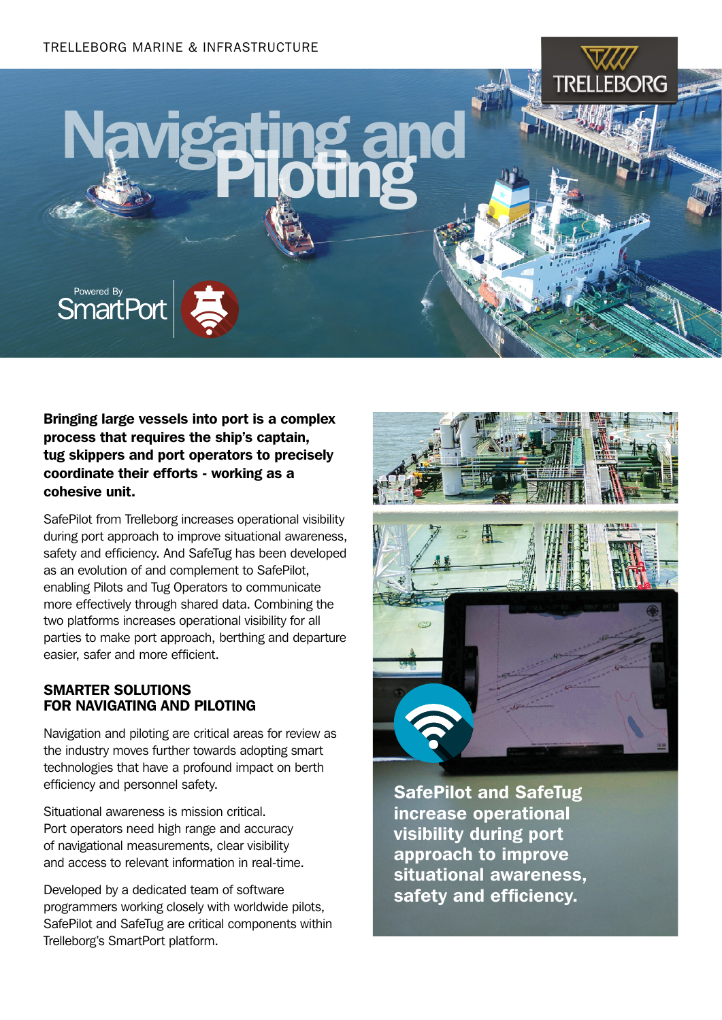# Navigating and



Bringing large vessels into port is a complex process that requires the ship's captain, tug skippers and port operators to precisely coordinate their efforts - working as a cohesive unit.

SafePilot from Trelleborg increases operational visibility during port approach to improve situational awareness, safety and efficiency. And SafeTug has been developed as an evolution of and complement to SafePilot, enabling Pilots and Tug Operators to communicate more effectively through shared data. Combining the two platforms increases operational visibility for all parties to make port approach, berthing and departure easier, safer and more efficient.

#### SMARTER SOLUTIONS FOR NAVIGATING AND PILOTING

Navigation and piloting are critical areas for review as the industry moves further towards adopting smart technologies that have a profound impact on berth efficiency and personnel safety.

Situational awareness is mission critical. Port operators need high range and accuracy of navigational measurements, clear visibility and access to relevant information in real-time.

Developed by a dedicated team of software programmers working closely with worldwide pilots, SafePilot and SafeTug are critical components within Trelleborg's SmartPort platform.



SafePilot and SafeTug increase operational visibility during port approach to improve situational awareness, safety and efficiency.